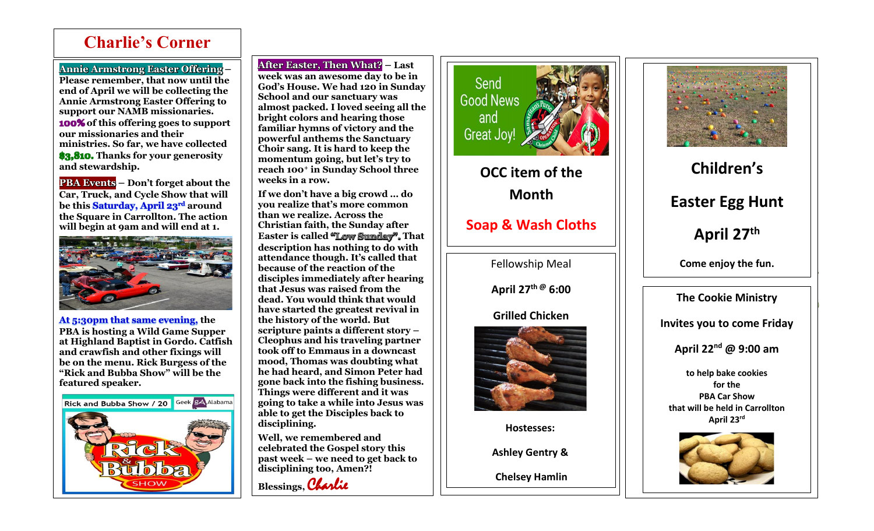## **Charlie's Corner**

**Annie Armstrong Easter Offering –**

Ī

**Please remember, that now until the end of April we will be collecting the Annie Armstrong Easter Offering to support our NAMB missionaries. 100% of this offering goes to support our missionaries and their ministries. So far, we have collected \$3,810. Thanks for your generosity and stewardship.**

**PBA Events – Don't forget about the Car, Truck, and Cycle Show that will be this Saturday, April 23rd around the Square in Carrollton. The action will begin at 9am and will end at 1.**



**At 5:30pm that same evening, the PBA is hosting a Wild Game Supper at Highland Baptist in Gordo. Catfish and crawfish and other fixings will be on the menu. Rick Burgess of the "Rick and Bubba Show" will be the featured speaker.**



**After Easter, Then What? – Last week was an awesome day to be in God's House. We had 120 in Sunday School and our sanctuary was almost packed. I loved seeing all the bright colors and hearing those familiar hymns of victory and the powerful anthems the Sanctuary Choir sang. It is hard to keep the momentum going, but let's try to reach 100<sup>+</sup> in Sunday School three weeks in a row.** 

**If we don't have a big crowd … do you realize that's more common than we realize. Across the Christian faith, the Sunday after Easter is called "Low Sunday". That description has nothing to do with attendance though. It's called that because of the reaction of the disciples immediately after hearing that Jesus was raised from the dead. You would think that would have started the greatest revival in the history of the world. But scripture paints a different story – Cleophus and his traveling partner took off to Emmaus in a downcast mood, Thomas was doubting what he had heard, and Simon Peter had gone back into the fishing business. Things were different and it was going to take a while into Jesus was able to get the Disciples back to disciplining.**

**Well, we remembered and celebrated the Gospel story this past week – we need to get back to disciplining too, Amen?!** 





**OCC item of the Month**

**Soap & Wash Cloths**

Fellowship Meal

**April 27th @ 6:00**

**Grilled Chicken**



**Hostesses:**

**Ashley Gentry &** 

**Chelsey Hamlin**



**Children's Easter Egg Hunt April 27th Come enjoy the fun.**

**The Cookie Ministry**

**Invites you to come Friday**

**April 22nd @ 9:00 am**

**to help bake cookies for the PBA Car Show that will be held in Carrollton April 23rd**